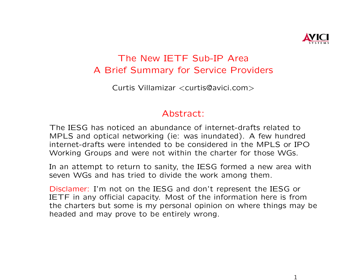

## The New IETF Sub-IP Area A Brief Summary for Service Providers

Curtis Villamizar <curtis@avici.com>

## Abstract:

The IESG has noticed an abundance of internet-drafts related to MPLS and optical networking (ie: was inundated). A few hundred internet-drafts were intended to be considered in the MPLS or IPO Working Groups and were not within the charter for those WGs.

In an attempt to return to sanity, the IESG formed a new area with seven WGs and has tried to divide the work among them.

Disclamer: I'm not on the IESG and don't represent the IESG or IETF in any official capacity. Most of the information here is from the charters but some is my personal opinion on where things may be headed and may prove to be entirely wrong.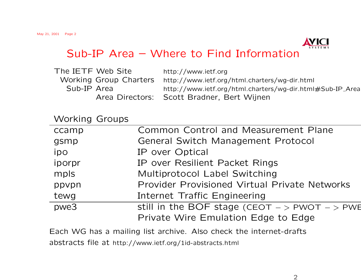

| The IETF Web Site |                               | http://www.ietf.org                                       |
|-------------------|-------------------------------|-----------------------------------------------------------|
|                   | <b>Working Group Charters</b> | http://www.ietf.org/html.charters/wg-dir.html             |
| Sub-IP Area       |                               | http://www.ietf.org/html.charters/wg-dir.html#Sub-IP_Area |
|                   |                               | Area Directors: Scott Bradner, Bert Wijnen                |

## Working Groups

| ccamp  | <b>Common Control and Measurement Plane</b>       |  |
|--------|---------------------------------------------------|--|
| gsmp   | <b>General Switch Management Protocol</b>         |  |
| ipo    | IP over Optical                                   |  |
| iporpr | IP over Resilient Packet Rings                    |  |
| mpls   | Multiprotocol Label Switching                     |  |
| ppvpn  | Provider Provisioned Virtual Private Networks     |  |
| tewg   | Internet Traffic Engineering                      |  |
| pwe3   | still in the BOF stage (CEOT $-$ > PWOT $-$ > PWE |  |
|        | Private Wire Emulation Edge to Edge               |  |

Each WG has a mailing list archive. Also check the internet-drafts abstracts file at http://www.ietf.org/1id-abstracts.html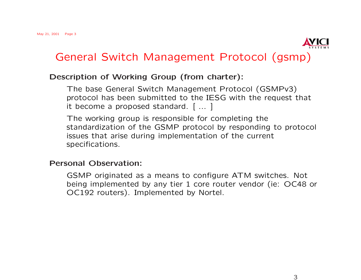

## General Switch Management Protocol (gsmp)

### Description of Working Group (from charter):

The base General Switch Management Protocol (GSMPv3) protocol has been submitted to the IESG with the request that it become a proposed standard. [ ... ]

The working group is responsible for completing the standardization of the GSMP protocol by responding to protocol issues that arise during implementation of the current specifications.

#### Personal Observation:

GSMP originated as a means to configure ATM switches. Not being implemented by any tier 1 core router vendor (ie: OC48 or OC192 routers). Implemented by Nortel.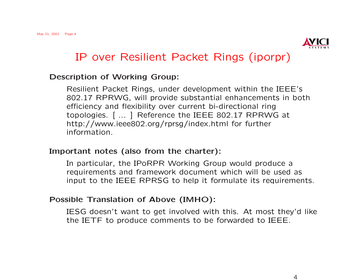

## IP over Resilient Packet Rings (iporpr)

#### Description of Working Group:

Resilient Packet Rings, under development within the IEEE's 802.17 RPRWG, will provide substantial enhancements in both efficiency and flexibility over current bi-directional ring topologies. [ ... ] Reference the IEEE 802.17 RPRWG at http://www.ieee802.org/rprsg/index.html for further information.

#### Important notes (also from the charter):

In particular, the IPoRPR Working Group would produce a requirements and framework document which will be used as input to the IEEE RPRSG to help it formulate its requirements.

#### Possible Translation of Above (IMHO):

IESG doesn't want to get involved with this. At most they'd like the IETF to produce comments to be forwarded to IEEE.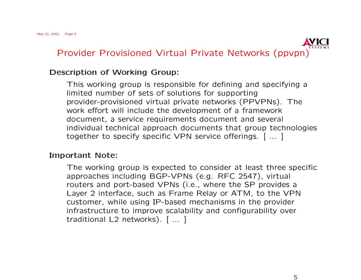

#### Description of Working Group:

This working group is responsible for defining and specifying a limited number of sets of solutions for supporting provider-provisioned virtual private networks (PPVPNs). The work effort will include the development of a framework document, a service requirements document and several individual technical approach documents that group technologies together to specify specific VPN service offerings. [ ... ]

#### Important Note:

The working group is expected to consider at least three specific approaches including BGP-VPNs (e.g. RFC 2547), virtual routers and port-based VPNs (i.e., where the SP provides a Layer 2 interface, such as Frame Relay or ATM, to the VPN customer, while using IP-based mechanisms in the provider infrastructure to improve scalability and configurability over traditional L2 networks). [ ... ]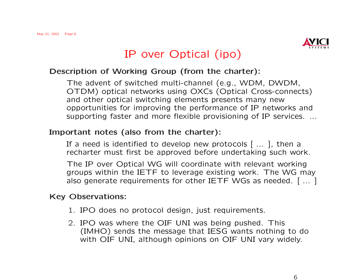

# IP over Optical (ipo)

### Description of Working Group (from the charter):

The advent of switched multi-channel (e.g., WDM, DWDM, OTDM) optical networks using OXCs (Optical Cross-connects) and other optical switching elements presents many new opportunities for improving the performance of IP networks and supporting faster and more flexible provisioning of IP services. ...

## Important notes (also from the charter):

If a need is identified to develop new protocols [ ... ], then a recharter must first be approved before undertaking such work.

The IP over Optical WG will coordinate with relevant working groups within the IETF to leverage existing work. The WG may also generate requirements for other IETF WGs as needed. [ ... ]

#### Key Observations:

- 1. IPO does no protocol design, just requirements.
- 2. IPO was where the OIF UNI was being pushed. This (IMHO) sends the message that IESG wants nothing to do with OIF UNI, although opinions on OIF UNI vary widely.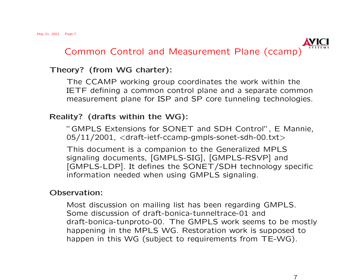

## Theory? (from WG charter):

The CCAMP working group coordinates the work within the IETF defining a common control plane and a separate common measurement plane for ISP and SP core tunneling technologies.

## Reality? (drafts within the WG):

"GMPLS Extensions for SONET and SDH Control", E Mannie,  $05/11/2001$ ,  $\langle$ draft-ietf-ccamp-gmpls-sonet-sdh-00.txt $>$ 

This document is a companion to the Generalized MPLS signaling documents, [GMPLS-SIG], [GMPLS-RSVP] and [GMPLS-LDP]. It defines the SONET/SDH technology specific information needed when using GMPLS signaling.

## Observation:

Most discussion on mailing list has been regarding GMPLS. Some discussion of draft-bonica-tunneltrace-01 and draft-bonica-tunproto-00. The GMPLS work seems to be mostly happening in the MPLS WG. Restoration work is supposed to happen in this WG (subject to requirements from TE-WG).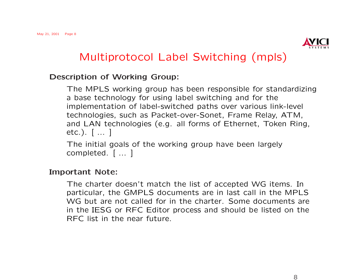

# Multiprotocol Label Switching (mpls)

#### Description of Working Group:

The MPLS working group has been responsible for standardizing a base technology for using label switching and for the implementation of label-switched paths over various link-level technologies, such as Packet-over-Sonet, Frame Relay, ATM, and LAN technologies (e.g. all forms of Ethernet, Token Ring, etc.). [ ... ]

The initial goals of the working group have been largely completed. [ ... ]

#### Important Note:

The charter doesn't match the list of accepted WG items. In particular, the GMPLS documents are in last call in the MPLS WG but are not called for in the charter. Some documents are in the IESG or RFC Editor process and should be listed on the RFC list in the near future.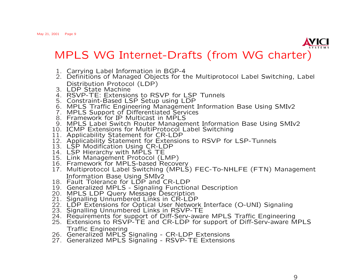

MPLS WG Internet-Drafts (from WG charter)

- 1. Carrying Label Information in BGP-4
- 2. Definitions of Managed Objects for the Multiprotocol Label Switching, Label Distribution Protocol (LDP)
- 3. LDP State Machine
- 4. RSVP-TE: Extensions to RSVP for LSP Tunnels
- 5. Constraint-Based LSP Setup using LDP
- 6. MPLS Traffic Engineering Management Information Base Using SMIv2
- 7. MPLS Support of Differentiated Services
- 8. Framework for IP Multicast in MPLS
- 9. MPLS Label Switch Router Management Information Base Using SMIv2
- 10. ICMP Extensions for MultiProtocol Label Switching
- 11. Applicability Statement for CR-LDP
- 12. Applicability Statement for Extensions to RSVP for LSP-Tunnels
- 13. LSP Modification Using CR-LDP
- 14. LSP Hierarchy with MPLS TE
- 15. Link Management Protocol (LMP)
- 16. Framework for MPLS-based Recovery
- 17. Multiprotocol Label Switching (MPLS) FEC-To-NHLFE (FTN) Management Information Base Using SMIv2
- 18. Fault Tolerance for LDP and CR-LDP
- 19. Generalized MPLS Signaling Functional Description
- 20. MPLS LDP Query Message Description
- 21. Signalling Unnumbered Links in CR-LDP
- 22. LDP Extensions for Optical User Network Interface (O-UNI) Signaling
- 23. Signalling Unnumbered Links in RSVP-TE
- 24. Requirements for support of Diff-Serv-aware MPLS Traffic Engineering
- 25. Extensions to RSVP-TE and CR-LDP for support of Diff-Serv-aware MPLS Traffic Engineering
- 26. Generalized MPLS Signaling CR-LDP Extensions
- 27. Generalized MPLS Signaling RSVP-TE Extensions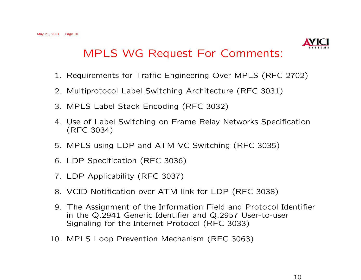

# MPLS WG Request For Comments:

- 1. Requirements for Traffic Engineering Over MPLS (RFC 2702)
- 2. Multiprotocol Label Switching Architecture (RFC 3031)
- 3. MPLS Label Stack Encoding (RFC 3032)
- 4. Use of Label Switching on Frame Relay Networks Specification (RFC 3034)
- 5. MPLS using LDP and ATM VC Switching (RFC 3035)
- 6. LDP Specification (RFC 3036)
- 7. LDP Applicability (RFC 3037)
- 8. VCID Notification over ATM link for LDP (RFC 3038)
- 9. The Assignment of the Information Field and Protocol Identifier in the Q.2941 Generic Identifier and Q.2957 User-to-user Signaling for the Internet Protocol (RFC 3033)
- 10. MPLS Loop Prevention Mechanism (RFC 3063)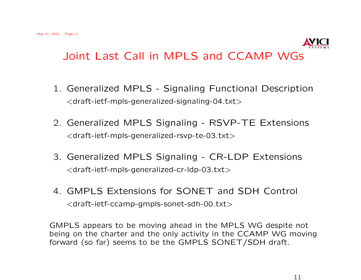

- 1. Generalized MPLS Signaling Functional Description  $\langle$  draft-ietf-mpls-generalized-signaling-04.txt $>$
- 2. Generalized MPLS Signaling RSVP-TE Extensions <draft-ietf-mpls-generalized-rsvp-te-03.txt>
- 3. Generalized MPLS Signaling CR-LDP Extensions <draft-ietf-mpls-generalized-cr-ldp-03.txt>
- 4. GMPLS Extensions for SONET and SDH Control <draft-ietf-ccamp-gmpls-sonet-sdh-00.txt>

GMPLS appears to be moving ahead in the MPLS WG despite not being on the charter and the only activity in the CCAMP WG moving forward (so far) seems to be the GMPLS SONET/SDH draft.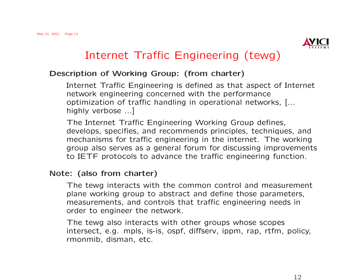

# Internet Traffic Engineering (tewg)

### Description of Working Group: (from charter)

Internet Traffic Engineering is defined as that aspect of Internet network engineering concerned with the performance optimization of traffic handling in operational networks, [... highly verbose ...]

The Internet Traffic Engineering Working Group defines, develops, specifies, and recommends principles, techniques, and mechanisms for traffic engineering in the internet. The working group also serves as a general forum for discussing improvements to IETF protocols to advance the traffic engineering function.

## Note: (also from charter)

The tewg interacts with the common control and measurement plane working group to abstract and define those parameters, measurements, and controls that traffic engineering needs in order to engineer the network.

The tewg also interacts with other groups whose scopes intersect, e.g. mpls, is-is, ospf, diffserv, ippm, rap, rtfm, policy, rmonmib, disman, etc.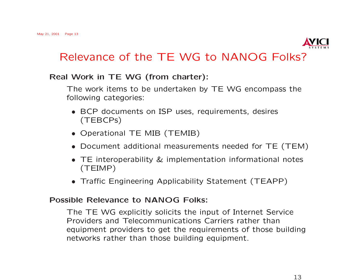

## Relevance of the TE WG to NANOG Folks?

### Real Work in TE WG (from charter):

The work items to be undertaken by TE WG encompass the following categories:

- BCP documents on ISP uses, requirements, desires (TEBCPs)
- Operational TE MIB (TEMIB)
- Document additional measurements needed for TE (TEM)
- TE interoperability & implementation informational notes (TEIMP)
- Traffic Engineering Applicability Statement (TEAPP)

#### Possible Relevance to NANOG Folks:

The TE WG explicitly solicits the input of Internet Service Providers and Telecommunications Carriers rather than equipment providers to get the requirements of those building networks rather than those building equipment.